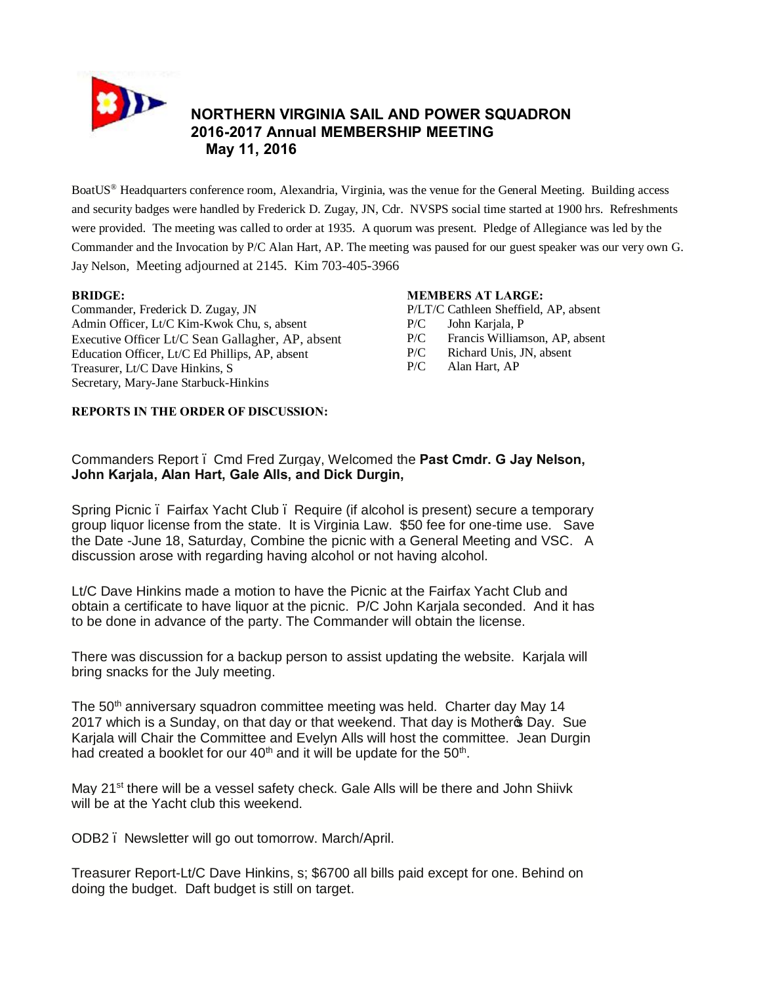

# **NORTHERN VIRGINIA SAIL AND POWER SQUADRON 2016-2017 Annual MEMBERSHIP MEETING May 11, 2016**

BoatUS® Headquarters conference room, Alexandria, Virginia, was the venue for the General Meeting. Building access and security badges were handled by Frederick D. Zugay, JN, Cdr. NVSPS social time started at 1900 hrs. Refreshments were provided. The meeting was called to order at 1935. A quorum was present. Pledge of Allegiance was led by the Commander and the Invocation by P/C Alan Hart, AP. The meeting was paused for our guest speaker was our very own G. Jay Nelson, Meeting adjourned at 2145. Kim 703-405-3966

#### **BRIDGE:**

Commander, Frederick D. Zugay, JN Admin Officer, Lt/C Kim-Kwok Chu, s, absent Executive Officer Lt/C Sean Gallagher, AP, absent Education Officer, Lt/C Ed Phillips, AP, absent Treasurer, Lt/C Dave Hinkins, S Secretary, Mary-Jane Starbuck-Hinkins

#### **MEMBERS AT LARGE:**

P/LT/C Cathleen Sheffield, AP, absent

- P/C John Karjala, P
- P/C Francis Williamson, AP, absent
- P/C Richard Unis, JN, absent
- P/C Alan Hart, AP

### **REPORTS IN THE ORDER OF DISCUSSION:**

Commanders Report – Cmd Fred Zurgay, Welcomed the **Past Cmdr. G Jay Nelson, John Karjala, Alan Hart, Gale Alls, and Dick Durgin,**

Spring Picnic – Fairfax Yacht Club – Require (if alcohol is present) secure a temporary group liquor license from the state. It is Virginia Law. \$50 fee for one-time use. Save the Date -June 18, Saturday, Combine the picnic with a General Meeting and VSC. A discussion arose with regarding having alcohol or not having alcohol.

Lt/C Dave Hinkins made a motion to have the Picnic at the Fairfax Yacht Club and obtain a certificate to have liquor at the picnic. P/C John Karjala seconded. And it has to be done in advance of the party. The Commander will obtain the license.

There was discussion for a backup person to assist updating the website. Karjala will bring snacks for the July meeting.

The  $50<sup>th</sup>$  anniversary squadron committee meeting was held. Charter day May 14 2017 which is a Sunday, on that day or that weekend. That day is Mother to Day. Sue Karjala will Chair the Committee and Evelyn Alls will host the committee. Jean Durgin had created a booklet for our  $40<sup>th</sup>$  and it will be update for the  $50<sup>th</sup>$ .

May 21<sup>st</sup> there will be a vessel safety check. Gale Alls will be there and John Shiivk will be at the Yacht club this weekend.

ODB2 – Newsletter will go out tomorrow. March/April.

Treasurer Report-Lt/C Dave Hinkins, s; \$6700 all bills paid except for one. Behind on doing the budget. Daft budget is still on target.